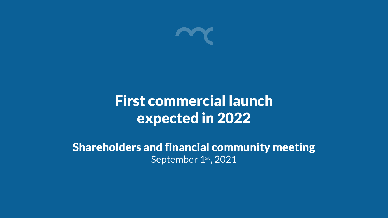

# First commercial launch expected in 2022

Shareholders and financial community meeting September 1st, 2021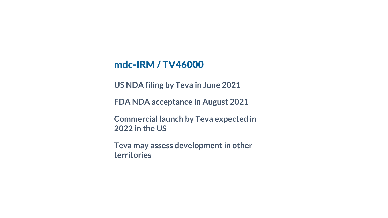#### mdc-IRM / TV46000

**US NDA filing by Teva in June 2021** 

**FDA NDA acceptance in August 2021**

**Commercial launch by Teva expected in 2022 in the US**

**Teva may assess development in other territories**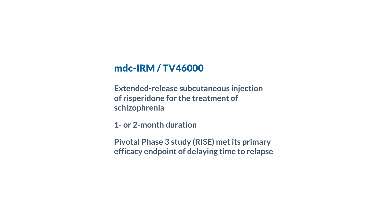#### mdc-IRM / TV46000

**Extended-release subcutaneous injection of risperidone for the treatment of schizophrenia**

**1- or 2-month duration**

**Pivotal Phase 3 study (RISE) met its primary efficacy endpoint of delaying time to relapse**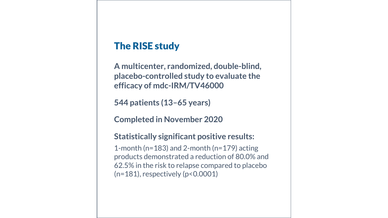### The RISE study

**A multicenter, randomized, double-blind, placebo-controlled study to evaluate the efficacy of mdc-IRM/TV46000**

**544 patients (13–65 years)**

**Completed in November 2020**

#### **Statistically significant positive results:**

1-month (n=183) and 2-month (n=179) acting products demonstrated a reduction of 80.0% and 62.5% in the risk to relapse compared to placebo (n=181), respectively (p<0.0001)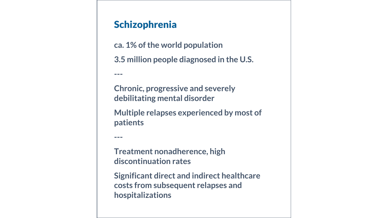## Schizophrenia

**ca. 1% of the world population 3.5 million people diagnosed in the U.S.** 

**Chronic, progressive and severely debilitating mental disorder** 

**Multiple relapses experienced by most of patients**

**---**

**---**

**Treatment nonadherence, high discontinuation rates**

**Significant direct and indirect healthcare costs from subsequent relapses and hospitalizations**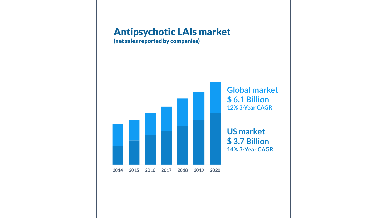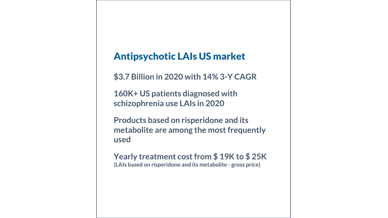## Antipsychotic LAIs US market

**\$3.7 Billion in 2020 with 14% 3-Y CAGR**

**160K+ US patients diagnosed with schizophrenia use LAIs in 2020**

**Products based on risperidone and its metabolite are among the most frequently used**

**Yearly treatment cost from \$ 19K to \$ 25K (LAIs based on risperidone and its metabolite - gross price)**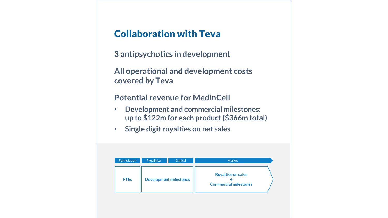## Collaboration with Teva

**3 antipsychotics in development** 

**All operational and development costs covered by Teva**

#### **Potential revenue for MedinCell**

- **Development and commercial milestones: up to \$122m for each product (\$366m total)**
- **Single digit royalties on net sales**

| Formulation | Preclinical | Clinical                      | Market                                                    |  |
|-------------|-------------|-------------------------------|-----------------------------------------------------------|--|
| <b>FTEs</b> |             | <b>Development milestones</b> | <b>Royalties on sales</b><br><b>Commercial milestones</b> |  |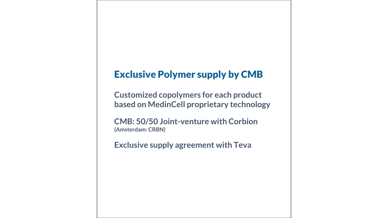### Exclusive Polymer supply by CMB

**Customized copolymers for each product based on MedinCell proprietary technology**

**CMB: 50/50 Joint-venture with Corbion (Amsterdam: CRBN)** 

**Exclusive supply agreement with Teva**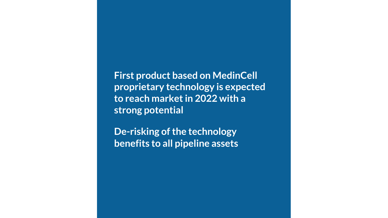**First product based on MedinCell proprietary technology is expected to reach market in 2022 with a strong potential** 

**De-risking of the technology benefits to all pipeline assets**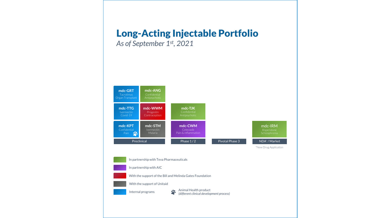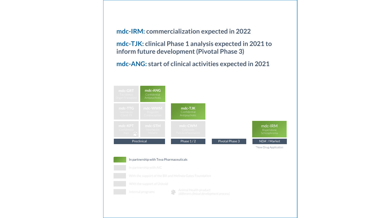**mdc-IRM: commercialization expected in 2022**

**mdc-TJK: clinical Phase 1 analysis expected in 2021 to inform future development (Pivotal Phase 3)**

**mdc-ANG: start of clinical activities expected in 2021**

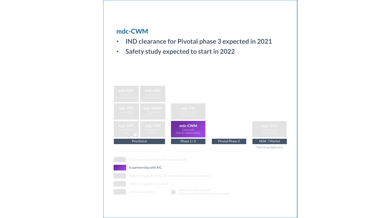#### **mdc-CWM**

- **IND clearance for Pivotal phase 3 expected in 2021**
- **Safety study expected to start in 2022**

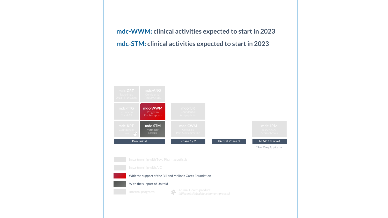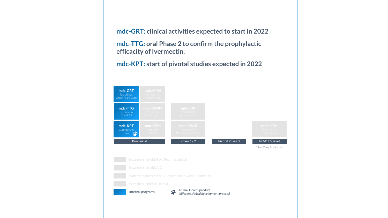**mdc-GRT: clinical activities expected to start in 2022**

**mdc-TTG: oral Phase 2 to confirm the prophylactic efficacity of Ivermectin.**

**mdc-KPT: start of pivotal studies expected in 2022**

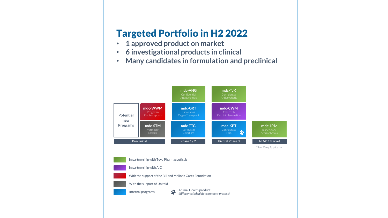## Targeted Portfolio in H2 2022

- **1 approved product on market**
- **6 investigational products in clinical**
- **Many candidates in formulation and preclinical**